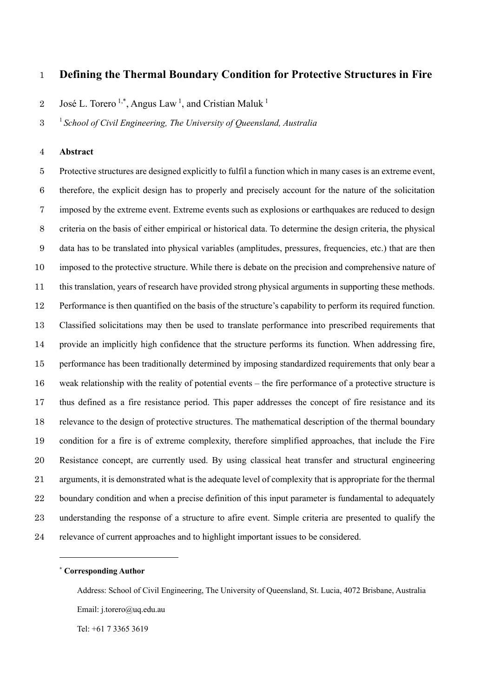# **Defining the Thermal Boundary Condition for Protective Structures in Fire**

2 José L. Torero<sup>1,\*</sup>, Angus Law<sup>1</sup>, and Cristian Maluk<sup>1</sup>

<sup>1</sup> *School of Civil Engineering, The University of Queensland, Australia*

# **Abstract**

 Protective structures are designed explicitly to fulfil a function which in many cases is an extreme event, therefore, the explicit design has to properly and precisely account for the nature of the solicitation imposed by the extreme event. Extreme events such as explosions or earthquakes are reduced to design criteria on the basis of either empirical or historical data. To determine the design criteria, the physical data has to be translated into physical variables (amplitudes, pressures, frequencies, etc.) that are then imposed to the protective structure. While there is debate on the precision and comprehensive nature of this translation, years of research have provided strong physical arguments in supporting these methods. Performance is then quantified on the basis of the structure's capability to perform its required function. Classified solicitations may then be used to translate performance into prescribed requirements that provide an implicitly high confidence that the structure performs its function. When addressing fire, performance has been traditionally determined by imposing standardized requirements that only bear a weak relationship with the reality of potential events – the fire performance of a protective structure is thus defined as a fire resistance period. This paper addresses the concept of fire resistance and its relevance to the design of protective structures. The mathematical description of the thermal boundary condition for a fire is of extreme complexity, therefore simplified approaches, that include the Fire Resistance concept, are currently used. By using classical heat transfer and structural engineering arguments, it is demonstrated what is the adequate level of complexity that is appropriate for the thermal 22 boundary condition and when a precise definition of this input parameter is fundamental to adequately understanding the response of a structure to afire event. Simple criteria are presented to qualify the relevance of current approaches and to highlight important issues to be considered.

### **\* Corresponding Author**

Address: School of Civil Engineering, The University of Queensland, St. Lucia, 4072 Brisbane, Australia Email: j.torero@uq.edu.au

Tel: +61 7 3365 3619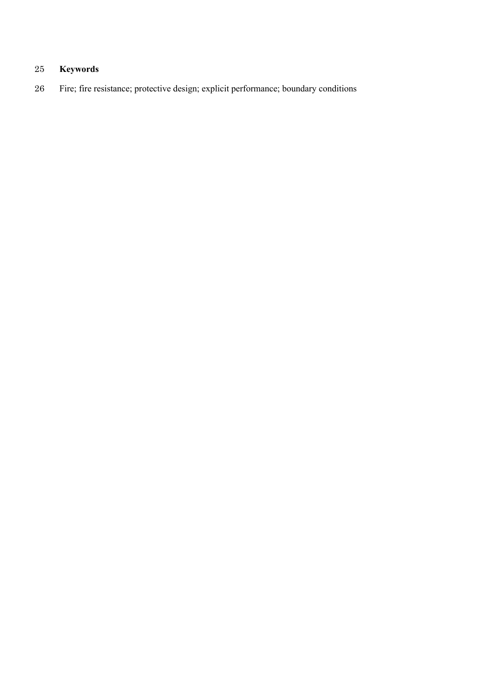# **Keywords**

Fire; fire resistance; protective design; explicit performance; boundary conditions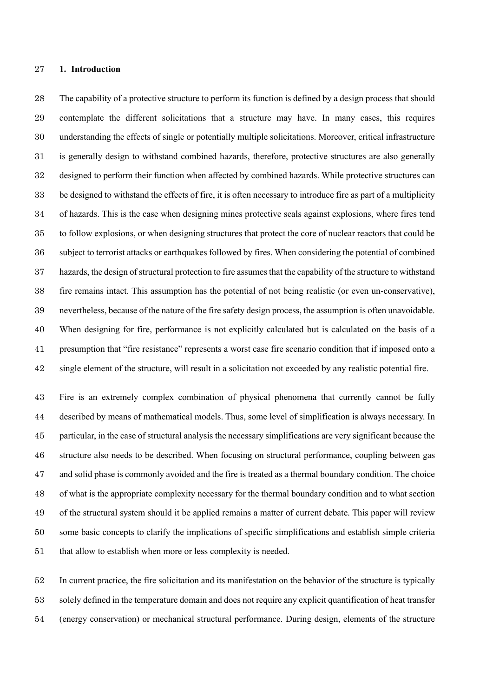## **1. Introduction**

 The capability of a protective structure to perform its function is defined by a design process that should contemplate the different solicitations that a structure may have. In many cases, this requires understanding the effects of single or potentially multiple solicitations. Moreover, critical infrastructure is generally design to withstand combined hazards, therefore, protective structures are also generally designed to perform their function when affected by combined hazards. While protective structures can be designed to withstand the effects of fire, it is often necessary to introduce fire as part of a multiplicity of hazards. This is the case when designing mines protective seals against explosions, where fires tend to follow explosions, or when designing structures that protect the core of nuclear reactors that could be subject to terrorist attacks or earthquakes followed by fires. When considering the potential of combined hazards, the design of structural protection to fire assumesthat the capability of the structure to withstand fire remains intact. This assumption has the potential of not being realistic (or even un-conservative), nevertheless, because of the nature of the fire safety design process, the assumption is often unavoidable. When designing for fire, performance is not explicitly calculated but is calculated on the basis of a presumption that "fire resistance" represents a worst case fire scenario condition that if imposed onto a single element of the structure, will result in a solicitation not exceeded by any realistic potential fire.

 Fire is an extremely complex combination of physical phenomena that currently cannot be fully described by means of mathematical models. Thus, some level of simplification is always necessary. In particular, in the case of structural analysis the necessary simplifications are very significant because the structure also needs to be described. When focusing on structural performance, coupling between gas and solid phase is commonly avoided and the fire is treated as a thermal boundary condition. The choice of what is the appropriate complexity necessary for the thermal boundary condition and to what section of the structural system should it be applied remains a matter of current debate. This paper will review some basic concepts to clarify the implications of specific simplifications and establish simple criteria that allow to establish when more or less complexity is needed.

 In current practice, the fire solicitation and its manifestation on the behavior of the structure is typically solely defined in the temperature domain and does not require any explicit quantification of heat transfer (energy conservation) or mechanical structural performance. During design, elements of the structure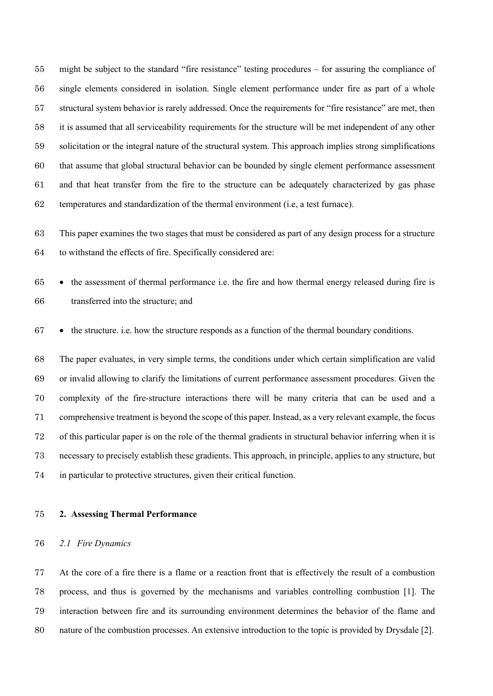might be subject to the standard "fire resistance" testing procedures – for assuring the compliance of single elements considered in isolation. Single element performance under fire as part of a whole structural system behavior is rarely addressed. Once the requirements for "fire resistance" are met, then it is assumed that all serviceability requirements for the structure will be met independent of any other solicitation or the integral nature of the structural system. This approach implies strong simplifications that assume that global structural behavior can be bounded by single element performance assessment and that heat transfer from the fire to the structure can be adequately characterized by gas phase temperatures and standardization of the thermal environment (i.e, a test furnace).

 This paper examines the two stages that must be considered as part of any design process for a structure to withstand the effects of fire. Specifically considered are:

 • the assessment of thermal performance i.e. the fire and how thermal energy released during fire is transferred into the structure; and

• the structure. i.e. how the structure responds as a function of the thermal boundary conditions.

 The paper evaluates, in very simple terms, the conditions under which certain simplification are valid or invalid allowing to clarify the limitations of current performance assessment procedures. Given the complexity of the fire-structure interactions there will be many criteria that can be used and a comprehensive treatment is beyond the scope of this paper. Instead, as a very relevant example, the focus of this particular paper is on the role of the thermal gradients in structural behavior inferring when it is necessary to precisely establish these gradients. This approach, in principle, applies to any structure, but in particular to protective structures, given their critical function.

**2. Assessing Thermal Performance**

#### *2.1 Fire Dynamics*

 At the core of a fire there is a flame or a reaction front that is effectively the result of a combustion process, and thus is governed by the mechanisms and variables controlling combustion [1]. The interaction between fire and its surrounding environment determines the behavior of the flame and nature of the combustion processes. An extensive introduction to the topic is provided by Drysdale [2].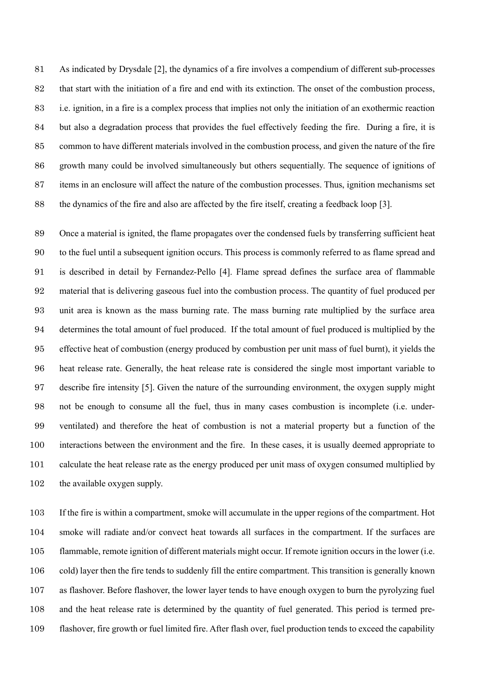As indicated by Drysdale [2], the dynamics of a fire involves a compendium of different sub-processes that start with the initiation of a fire and end with its extinction. The onset of the combustion process, i.e. ignition, in a fire is a complex process that implies not only the initiation of an exothermic reaction but also a degradation process that provides the fuel effectively feeding the fire. During a fire, it is common to have different materials involved in the combustion process, and given the nature of the fire growth many could be involved simultaneously but others sequentially. The sequence of ignitions of items in an enclosure will affect the nature of the combustion processes. Thus, ignition mechanisms set the dynamics of the fire and also are affected by the fire itself, creating a feedback loop [3].

 Once a material is ignited, the flame propagates over the condensed fuels by transferring sufficient heat to the fuel until a subsequent ignition occurs. This process is commonly referred to as flame spread and is described in detail by Fernandez-Pello [4]. Flame spread defines the surface area of flammable material that is delivering gaseous fuel into the combustion process. The quantity of fuel produced per unit area is known as the mass burning rate. The mass burning rate multiplied by the surface area determines the total amount of fuel produced. If the total amount of fuel produced is multiplied by the effective heat of combustion (energy produced by combustion per unit mass of fuel burnt), it yields the heat release rate. Generally, the heat release rate is considered the single most important variable to describe fire intensity [5]. Given the nature of the surrounding environment, the oxygen supply might not be enough to consume all the fuel, thus in many cases combustion is incomplete (i.e. under- ventilated) and therefore the heat of combustion is not a material property but a function of the interactions between the environment and the fire. In these cases, it is usually deemed appropriate to calculate the heat release rate as the energy produced per unit mass of oxygen consumed multiplied by the available oxygen supply.

 If the fire is within a compartment, smoke will accumulate in the upper regions of the compartment. Hot smoke will radiate and/or convect heat towards all surfaces in the compartment. If the surfaces are flammable, remote ignition of different materials might occur. If remote ignition occurs in the lower (i.e. cold) layer then the fire tends to suddenly fill the entire compartment. This transition is generally known as flashover. Before flashover, the lower layer tends to have enough oxygen to burn the pyrolyzing fuel and the heat release rate is determined by the quantity of fuel generated. This period is termed pre-flashover, fire growth or fuel limited fire. After flash over, fuel production tends to exceed the capability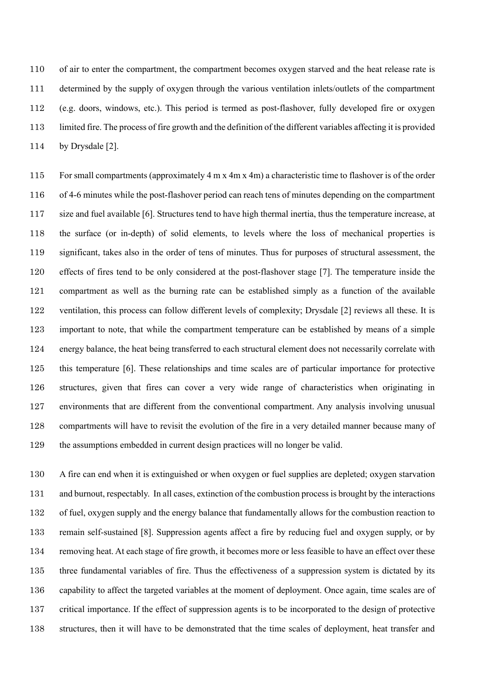of air to enter the compartment, the compartment becomes oxygen starved and the heat release rate is determined by the supply of oxygen through the various ventilation inlets/outlets of the compartment (e.g. doors, windows, etc.). This period is termed as post-flashover, fully developed fire or oxygen limited fire. The process of fire growth and the definition of the different variables affecting it is provided by Drysdale [2].

 For small compartments (approximately 4 m x 4m x 4m) a characteristic time to flashover is of the order of 4-6 minutes while the post-flashover period can reach tens of minutes depending on the compartment size and fuel available [6]. Structures tend to have high thermal inertia, thus the temperature increase, at the surface (or in-depth) of solid elements, to levels where the loss of mechanical properties is significant, takes also in the order of tens of minutes. Thus for purposes of structural assessment, the effects of fires tend to be only considered at the post-flashover stage [7]. The temperature inside the compartment as well as the burning rate can be established simply as a function of the available ventilation, this process can follow different levels of complexity; Drysdale [2] reviews all these. It is important to note, that while the compartment temperature can be established by means of a simple energy balance, the heat being transferred to each structural element does not necessarily correlate with this temperature [6]. These relationships and time scales are of particular importance for protective structures, given that fires can cover a very wide range of characteristics when originating in environments that are different from the conventional compartment. Any analysis involving unusual compartments will have to revisit the evolution of the fire in a very detailed manner because many of the assumptions embedded in current design practices will no longer be valid.

 A fire can end when it is extinguished or when oxygen or fuel supplies are depleted; oxygen starvation and burnout, respectably. In all cases, extinction of the combustion process is brought by the interactions of fuel, oxygen supply and the energy balance that fundamentally allows for the combustion reaction to remain self-sustained [8]. Suppression agents affect a fire by reducing fuel and oxygen supply, or by removing heat. At each stage of fire growth, it becomes more or less feasible to have an effect over these three fundamental variables of fire. Thus the effectiveness of a suppression system is dictated by its capability to affect the targeted variables at the moment of deployment. Once again, time scales are of critical importance. If the effect of suppression agents is to be incorporated to the design of protective structures, then it will have to be demonstrated that the time scales of deployment, heat transfer and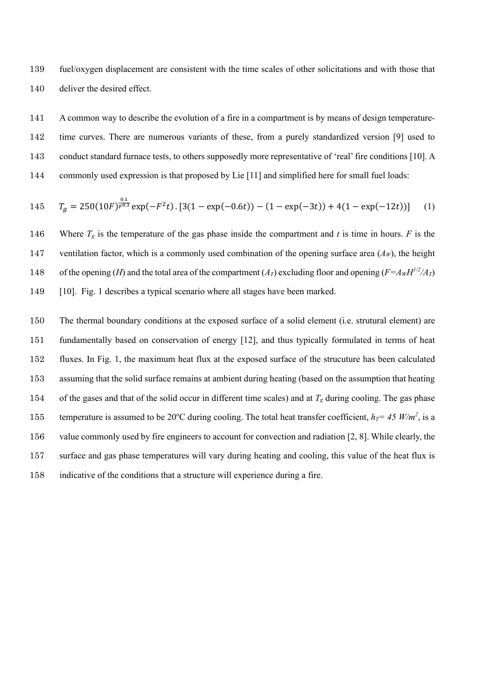139 fuel/oxygen displacement are consistent with the time scales of other solicitations and with those that 140 deliver the desired effect.

141 A common way to describe the evolution of a fire in a compartment is by means of design temperature-142 time curves. There are numerous variants of these, from a purely standardized version [9] used to 143 conduct standard furnace tests, to others supposedly more representative of 'real' fire conditions [10]. A 144 commonly used expression is that proposed by Lie [11] and simplified here for small fuel loads:

145 
$$
T_g = 250(10F)^{\frac{0.1}{F^{0.3}}} \exp(-F^2t) \cdot [3(1 - \exp(-0.6t)) - (1 - \exp(-3t)) + 4(1 - \exp(-12t))] \tag{1}
$$

146 Where  $T_g$  is the temperature of the gas phase inside the compartment and *t* is time in hours. *F* is the 147 ventilation factor, which is a commonly used combination of the opening surface area (*AW*), the height 148 of the opening (*H*) and the total area of the compartment (*A<sub>T</sub>*) excluding floor and opening ( $F = A_W H^{1/2}/A_T$ ) 149 [10]. Fig. 1 describes a typical scenario where all stages have been marked.

 The thermal boundary conditions at the exposed surface of a solid element (i.e. strutural element) are fundamentally based on conservation of energy [12], and thus typically formulated in terms of heat fluxes. In Fig. 1, the maximum heat flux at the exposed surface of the strucuture has been calculated assuming that the solid surface remains at ambient during heating (based on the assumption that heating 154 of the gases and that of the solid occur in different time scales) and at  $T_g$  during cooling. The gas phase 155 temperature is assumed to be 20°C during cooling. The total heat transfer coefficient,  $h_T = 45$  W/m<sup>2</sup>, is a value commonly used by fire engineers to account for convection and radiation [2, 8]. While clearly, the surface and gas phase temperatures will vary during heating and cooling, this value of the heat flux is indicative of the conditions that a structure will experience during a fire.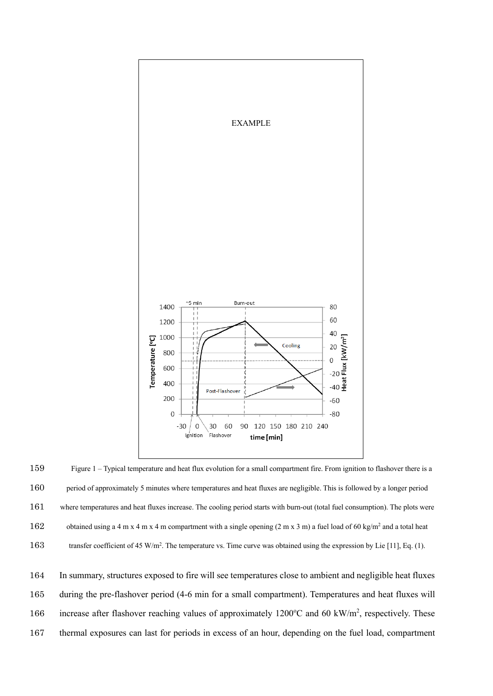

159 Figure 1 – Typical temperature and heat flux evolution for a small compartment fire. From ignition to flashover there is a 160 period of approximately 5 minutes where temperatures and heat fluxes are negligible. This is followed by a longer period 161 where temperatures and heat fluxes increase. The cooling period starts with burn-out (total fuel consumption). The plots were 162 obtained using a 4 m x 4 m x 4 m compartment with a single opening  $(2 \text{ m x 3 m})$  a fuel load of 60 kg/m<sup>2</sup> and a total heat 163 transfer coefficient of 45 W/m<sup>2</sup>. The temperature vs. Time curve was obtained using the expression by Lie [11], Eq. (1).

 In summary, structures exposed to fire will see temperatures close to ambient and negligible heat fluxes during the pre-flashover period (4-6 min for a small compartment). Temperatures and heat fluxes will 166 increase after flashover reaching values of approximately 1200°C and 60 kW/m<sup>2</sup>, respectively. These thermal exposures can last for periods in excess of an hour, depending on the fuel load, compartment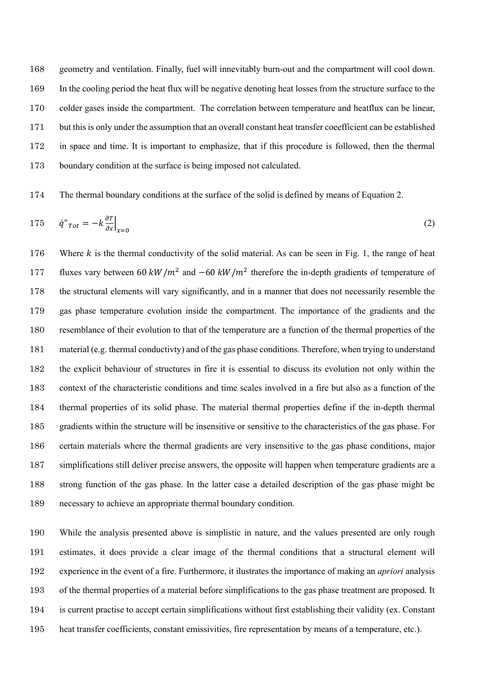geometry and ventilation. Finally, fuel will innevitably burn-out and the compartment will cool down. In the cooling period the heat flux will be negative denoting heat losses from the structure surface to the colder gases inside the compartment. The correlation between temperature and heatflux can be linear, but this is only under the assumption that an overall constant heat transfer coeefficient can be established in space and time. It is important to emphasize, that if this procedure is followed, then the thermal boundary condition at the surface is being imposed not calculated.

The thermal boundary conditions at the surface of the solid is defined by means of Equation 2.

$$
175 \qquad \ddot{q}''_{Tot} = -k \frac{\partial T}{\partial x}\Big|_{x=0} \tag{2}
$$

176 Where  $k$  is the thermal conductivity of the solid material. As can be seen in Fig. 1, the range of heat fluxes vary between 60  $kW/m^2$  and  $-60 \, kW/m^2$  therefore the in-depth gradients of temperature of the structural elements will vary significantly, and in a manner that does not necessarily resemble the gas phase temperature evolution inside the compartment. The importance of the gradients and the resemblance of their evolution to that of the temperature are a function of the thermal properties of the material (e.g. thermal conductivty) and of the gas phase conditions. Therefore, when trying to understand the explicit behaviour of structures in fire it is essential to discuss its evolution not only within the context of the characteristic conditions and time scales involved in a fire but also as a function of the thermal properties of its solid phase. The material thermal properties define if the in-depth thermal gradients within the structure will be insensitive or sensitive to the characteristics of the gas phase. For certain materials where the thermal gradients are very insensitive to the gas phase conditions, major simplifications still deliver precise answers, the opposite will happen when temperature gradients are a strong function of the gas phase. In the latter case a detailed description of the gas phase might be necessary to achieve an appropriate thermal boundary condition.

 While the analysis presented above is simplistic in nature, and the values presented are only rough estimates, it does provide a clear image of the thermal conditions that a structural element will experience in the event of a fire. Furthermore, it ilustrates the importance of making an *apriori* analysis of the thermal properties of a material before simplifications to the gas phase treatment are proposed. It is current practise to accept certain simplifications without first establishing their validity (ex. Constant heat transfer coefficients, constant emissivities, fire representation by means of a temperature, etc.).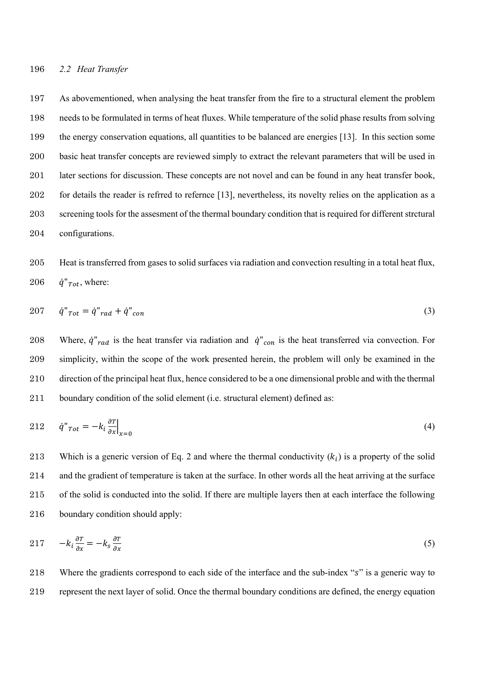As abovementioned, when analysing the heat transfer from the fire to a structural element the problem needs to be formulated in terms of heat fluxes. While temperature of the solid phase results from solving the energy conservation equations, all quantities to be balanced are energies [13]. In this section some basic heat transfer concepts are reviewed simply to extract the relevant parameters that will be used in later sections for discussion. These concepts are not novel and can be found in any heat transfer book, for details the reader is refrred to refernce [13], nevertheless, its novelty relies on the application as a screening tools for the assesment of the thermal boundary condition that is required for different strctural configurations.

# 205 Heat is transferred from gases to solid surfaces via radiation and convection resulting in a total heat flux, 206  $\dot{q}''$ <sub>Tot</sub>, where:

$$
207 \qquad \ddot{q}^{"} \text{Tot} = \dot{q}^{"} \text{rad} + \dot{q}^{"} \text{con}
$$
\n
$$
\tag{3}
$$

208 Where,  $\dot{q}''_{rad}$  is the heat transfer via radiation and  $\dot{q}''_{con}$  is the heat transferred via convection. For 209 simplicity, within the scope of the work presented herein, the problem will only be examined in the 210 direction of the principal heat flux, hence considered to be a one dimensional proble and with the thermal 211 boundary condition of the solid element (i.e. structural element) defined as:

$$
212 \qquad \dot{q}^{"}_{\text{Tot}} = -k_i \frac{\partial T}{\partial x} \big|_{x=0} \tag{4}
$$

213 Which is a generic version of Eq. 2 and where the thermal conductivity  $(k_i)$  is a property of the solid and the gradient of temperature is taken at the surface. In other words all the heat arriving at the surface of the solid is conducted into the solid. If there are multiple layers then at each interface the following boundary condition should apply:

$$
217 \t -k_i \frac{\partial T}{\partial x} = -k_s \frac{\partial T}{\partial x} \t (5)
$$

218 Where the gradients correspond to each side of the interface and the sub-index "s" is a generic way to 219 represent the next layer of solid. Once the thermal boundary conditions are defined, the energy equation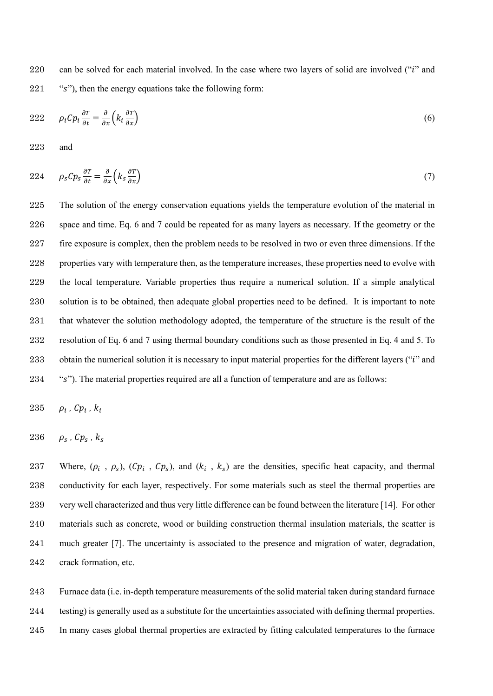220 can be solved for each material involved. In the case where two layers of solid are involved ("*i*" and "s"), then the energy equations take the following form:

$$
222 \qquad \rho_i C p_i \frac{\partial \tau}{\partial t} = \frac{\partial}{\partial x} \left( k_i \frac{\partial \tau}{\partial x} \right) \tag{6}
$$

and

$$
224 \qquad \rho_s C p_s \frac{\partial \tau}{\partial t} = \frac{\partial}{\partial x} \left( k_s \frac{\partial \tau}{\partial x} \right) \tag{7}
$$

 The solution of the energy conservation equations yields the temperature evolution of the material in space and time. Eq. 6 and 7 could be repeated for as many layers as necessary. If the geometry or the fire exposure is complex, then the problem needs to be resolved in two or even three dimensions. If the properties vary with temperature then, as the temperature increases, these properties need to evolve with the local temperature. Variable properties thus require a numerical solution. If a simple analytical solution is to be obtained, then adequate global properties need to be defined. It is important to note that whatever the solution methodology adopted, the temperature of the structure is the result of the resolution of Eq. 6 and 7 using thermal boundary conditions such as those presented in Eq. 4 and 5. To 233 obtain the numerical solution it is necessary to input material properties for the different layers ("*i*" and 234 "'s"). The material properties required are all a function of temperature and are as follows:

$$
235 \quad \rho_i \, , \, C p_i \, , \, k_i
$$

$$
236 \qquad \rho_s \, , \, Cp_s \, , \, k_s
$$

237 Where,  $(\rho_i, \rho_s)$ ,  $(\mathcal{C}p_i, \mathcal{C}p_s)$ , and  $(k_i, k_s)$  are the densities, specific heat capacity, and thermal conductivity for each layer, respectively. For some materials such as steel the thermal properties are very well characterized and thus very little difference can be found between the literature [14]. For other materials such as concrete, wood or building construction thermal insulation materials, the scatter is much greater [7]. The uncertainty is associated to the presence and migration of water, degradation, crack formation, etc.

 Furnace data (i.e. in-depth temperature measurements of the solid material taken during standard furnace testing) is generally used as a substitute for the uncertainties associated with defining thermal properties. In many cases global thermal properties are extracted by fitting calculated temperatures to the furnace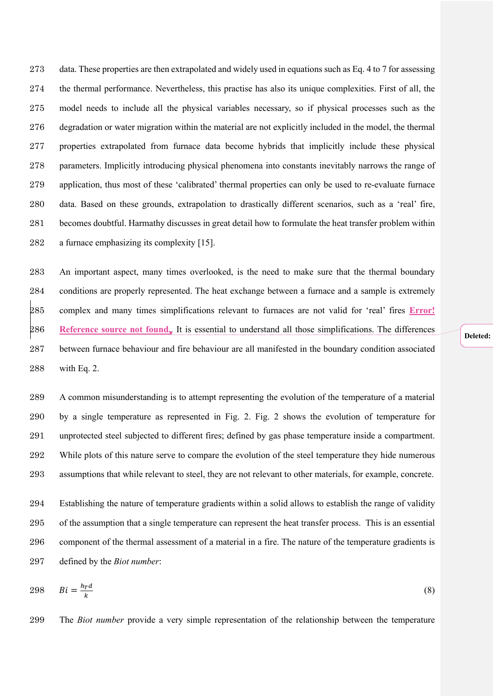data. These properties are then extrapolated and widely used in equations such as Eq. 4 to 7 for assessing the thermal performance. Nevertheless, this practise has also its unique complexities. First of all, the model needs to include all the physical variables necessary, so if physical processes such as the degradation or water migration within the material are not explicitly included in the model, the thermal properties extrapolated from furnace data become hybrids that implicitly include these physical parameters. Implicitly introducing physical phenomena into constants inevitably narrows the range of application, thus most of these 'calibrated' thermal properties can only be used to re-evaluate furnace data. Based on these grounds, extrapolation to drastically different scenarios, such as a 'real' fire, becomes doubtful. Harmathy discusses in great detail how to formulate the heat transfer problem within a furnace emphasizing its complexity [15].

 An important aspect, many times overlooked, is the need to make sure that the thermal boundary conditions are properly represented. The heat exchange between a furnace and a sample is extremely complex and many times simplifications relevant to furnaces are not valid for 'real' fires **Error! Reference source not found.**. It is essential to understand all those simplifications. The differences between furnace behaviour and fire behaviour are all manifested in the boundary condition associated with Eq. 2.

 A common misunderstanding is to attempt representing the evolution of the temperature of a material by a single temperature as represented in Fig. 2. Fig. 2 shows the evolution of temperature for unprotected steel subjected to different fires; defined by gas phase temperature inside a compartment. While plots of this nature serve to compare the evolution of the steel temperature they hide numerous assumptions that while relevant to steel, they are not relevant to other materials, for example, concrete.

 Establishing the nature of temperature gradients within a solid allows to establish the range of validity of the assumption that a single temperature can represent the heat transfer process. This is an essential component of the thermal assessment of a material in a fire. The nature of the temperature gradients is defined by the *Biot number*:

$$
298 \tBi = \frac{h_{\rm T}d}{k} \t(8)
$$

The *Biot number* provide a very simple representation of the relationship between the temperature

Deleted: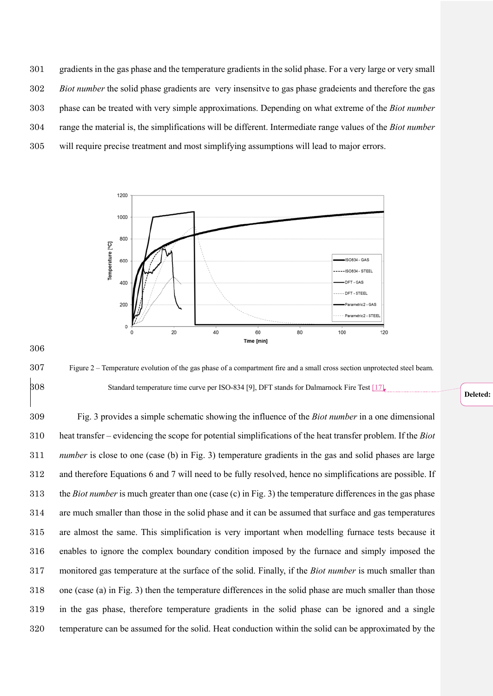gradients in the gas phase and the temperature gradients in the solid phase. For a very large or very small *Biot number* the solid phase gradients are very insensitve to gas phase gradeients and therefore the gas phase can be treated with very simple approximations. Depending on what extreme of the *Biot number*  range the material is, the simplifications will be different. Intermediate range values of the *Biot number* will require precise treatment and most simplifying assumptions will lead to major errors.



 Figure 2 – Temperature evolution of the gas phase of a compartment fire and a small cross section unprotected steel beam. Standard temperature time curve per ISO-834 [9], DFT stands for Dalmarnock Fire Test [17].

 Fig. 3 provides a simple schematic showing the influence of the *Biot number* in a one dimensional heat transfer – evidencing the scope for potential simplifications of the heat transfer problem. If the *Biot number* is close to one (case (b) in Fig. 3) temperature gradients in the gas and solid phases are large and therefore Equations 6 and 7 will need to be fully resolved, hence no simplifications are possible. If the *Biot number* is much greater than one (case (c) in Fig. 3) the temperature differences in the gas phase are much smaller than those in the solid phase and it can be assumed that surface and gas temperatures are almost the same. This simplification is very important when modelling furnace tests because it enables to ignore the complex boundary condition imposed by the furnace and simply imposed the monitored gas temperature at the surface of the solid. Finally, if the *Biot number* is much smaller than one (case (a) in Fig. 3) then the temperature differences in the solid phase are much smaller than those in the gas phase, therefore temperature gradients in the solid phase can be ignored and a single temperature can be assumed for the solid. Heat conduction within the solid can be approximated by the

# Deleted: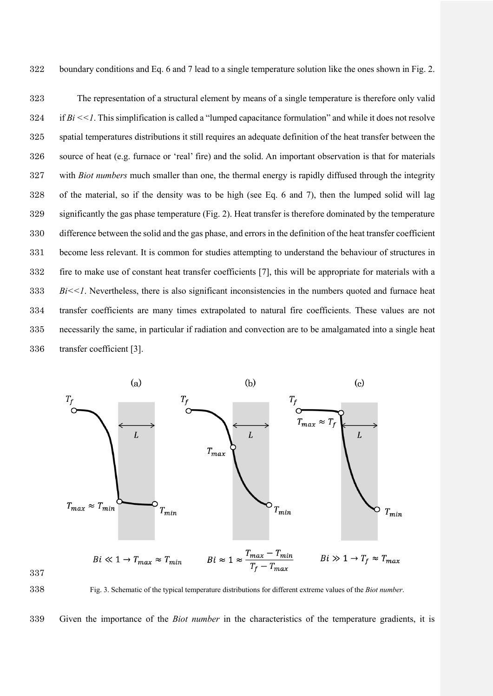boundary conditions and Eq. 6 and 7 lead to a single temperature solution like the ones shown in Fig. 2.

 The representation of a structural element by means of a single temperature is therefore only valid if  $Bi \le 1$ . This simplification is called a "lumped capacitance formulation" and while it does not resolve spatial temperatures distributions it still requires an adequate definition of the heat transfer between the source of heat (e.g. furnace or 'real' fire) and the solid. An important observation is that for materials with *Biot numbers* much smaller than one, the thermal energy is rapidly diffused through the integrity of the material, so if the density was to be high (see Eq. 6 and 7), then the lumped solid will lag significantly the gas phase temperature (Fig. 2). Heat transfer is therefore dominated by the temperature difference between the solid and the gas phase, and errors in the definition of the heat transfer coefficient become less relevant. It is common for studies attempting to understand the behaviour of structures in fire to make use of constant heat transfer coefficients [7], this will be appropriate for materials with a  $333 \qquad Bi \le 1$ . Nevertheless, there is also significant inconsistencies in the numbers quoted and furnace heat transfer coefficients are many times extrapolated to natural fire coefficients. These values are not necessarily the same, in particular if radiation and convection are to be amalgamated into a single heat transfer coefficient [3].



Fig. 3. Schematic of the typical temperature distributions for different extreme values of the *Biot number*.

Given the importance of the *Biot number* in the characteristics of the temperature gradients, it is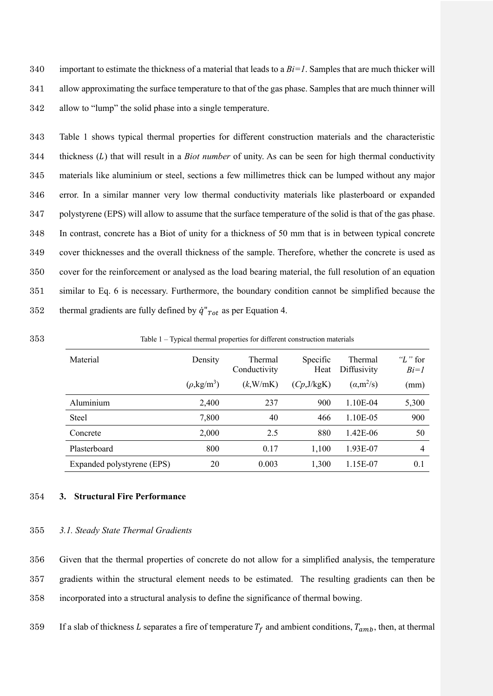340 important to estimate the thickness of a material that leads to a *Bi=1*. Samples that are much thicker will 341 allow approximating the surface temperature to that of the gas phase. Samples that are much thinner will 342 allow to "lump" the solid phase into a single temperature.

 Table 1 shows typical thermal properties for different construction materials and the characteristic 344 thickness (L) that will result in a *Biot number* of unity. As can be seen for high thermal conductivity materials like aluminium or steel, sections a few millimetres thick can be lumped without any major error. In a similar manner very low thermal conductivity materials like plasterboard or expanded polystyrene (EPS) will allow to assume that the surface temperature of the solid is that of the gas phase. In contrast, concrete has a Biot of unity for a thickness of 50 mm that is in between typical concrete cover thicknesses and the overall thickness of the sample. Therefore, whether the concrete is used as cover for the reinforcement or analysed as the load bearing material, the full resolution of an equation similar to Eq. 6 is necessary. Furthermore, the boundary condition cannot be simplified because the 352 thermal gradients are fully defined by  $\dot{q}''$ <sub>Tot</sub> as per Equation 4.

| ╯                          |                              |                         |                  |                        |                       |
|----------------------------|------------------------------|-------------------------|------------------|------------------------|-----------------------|
| Material                   | Density                      | Thermal<br>Conductivity | Specific<br>Heat | Thermal<br>Diffusivity | " $L$ " for<br>$Bi=1$ |
|                            | $(\rho$ ,kg/m <sup>3</sup> ) | $(k$ , W/mK)            | (Cp, J/kgK)      | $(\alpha, m^2/s)$      | (mm)                  |
| Aluminium                  | 2,400                        | 237                     | 900              | 1.10E-04               | 5,300                 |
| Steel                      | 7,800                        | 40                      | 466              | 1.10E-05               | 900                   |
| Concrete                   | 2,000                        | 2.5                     | 880              | 1.42E-06               | 50                    |
| Plasterboard               | 800                          | 0.17                    | 1,100            | 1.93E-07               | 4                     |
| Expanded polystyrene (EPS) | 20                           | 0.003                   | 1,300            | 1.15E-07               | 0.1                   |

353 Table 1 – Typical thermal properties for different construction materials

#### 354 **3. Structural Fire Performance**

## 355 *3.1. Steady State Thermal Gradients*

356 Given that the thermal properties of concrete do not allow for a simplified analysis, the temperature 357 gradients within the structural element needs to be estimated. The resulting gradients can then be 358 incorporated into a structural analysis to define the significance of thermal bowing.

359 If a slab of thickness L separates a fire of temperature  $T_f$  and ambient conditions,  $T_{amb}$ , then, at thermal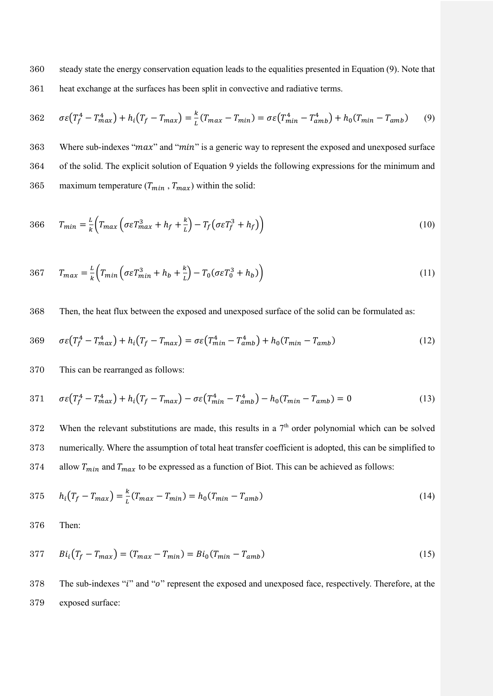360 steady state the energy conservation equation leads to the equalities presented in Equation (9). Note that 361 heat exchange at the surfaces has been split in convective and radiative terms.

$$
362 \quad \sigma\varepsilon (T_f^4 - T_{max}^4) + h_i (T_f - T_{max}) = \frac{k}{L} (T_{max} - T_{min}) = \sigma\varepsilon (T_{min}^4 - T_{amb}^4) + h_0 (T_{min} - T_{amb}) \tag{9}
$$

363 Where sub-indexes "max" and "min" is a generic way to represent the exposed and unexposed surface 364 of the solid. The explicit solution of Equation 9 yields the following expressions for the minimum and 365 maximum temperature  $(T_{min}, T_{max})$  within the solid:

$$
366 \t T_{min} = \frac{L}{k} \Big( T_{max} \Big( \sigma \varepsilon T_{max}^3 + h_f + \frac{k}{L} \Big) - T_f \Big( \sigma \varepsilon T_f^3 + h_f \Big) \Big)
$$
(10)

$$
367 \t T_{max} = \frac{L}{k} \Big( T_{min} \Big( \sigma \varepsilon T_{min}^3 + h_b + \frac{k}{L} \Big) - T_0 (\sigma \varepsilon T_0^3 + h_b) \Big) \tag{11}
$$

368 Then, the heat flux between the exposed and unexposed surface of the solid can be formulated as:

$$
369 \quad \sigma \varepsilon (T_f^4 - T_{max}^4) + h_i (T_f - T_{max}) = \sigma \varepsilon (T_{min}^4 - T_{amb}^4) + h_0 (T_{min} - T_{amb}) \tag{12}
$$

370 This can be rearranged as follows:

371 
$$
\sigma \varepsilon (T_f^4 - T_{max}^4) + h_i (T_f - T_{max}) - \sigma \varepsilon (T_{min}^4 - T_{amb}^4) - h_0 (T_{min} - T_{amb}) = 0
$$
 (13)

 $372$  When the relevant substitutions are made, this results in a  $7<sup>th</sup>$  order polynomial which can be solved 373 numerically. Where the assumption of total heat transfer coefficient is adopted, this can be simplified to 374 allow  $T_{min}$  and  $T_{max}$  to be expressed as a function of Biot. This can be achieved as follows:

$$
375 \t h_i(T_f - T_{max}) = \frac{k}{L}(T_{max} - T_{min}) = h_0(T_{min} - T_{amb})
$$
\t(14)

376 Then:

$$
377 \t Bii(T_f - T_{max}) = (T_{max} - T_{min}) = Bi0(T_{min} - T_{amb})
$$
\n(15)

378 The sub-indexes "i" and "o" represent the exposed and unexposed face, respectively. Therefore, at the 379 exposed surface: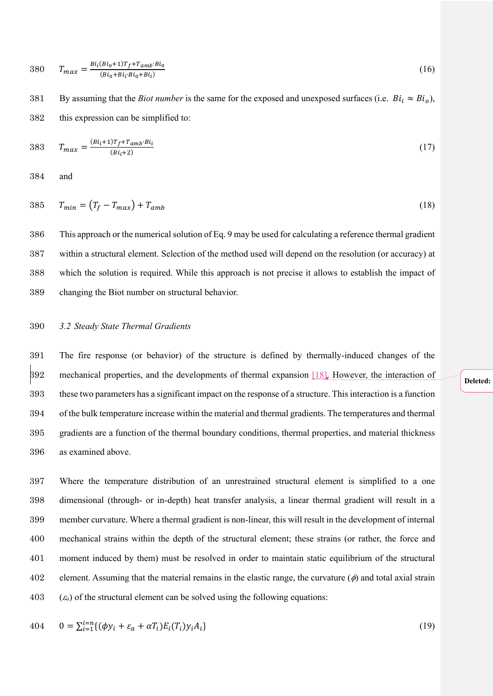$$
380 \t T_{max} = \frac{Bi_l(Bi_0 + 1)T_f + T_{amb'}Bi_0}{(Bi_0 + Bi_l \cdot Bi_0 + Bi_l)}
$$
\n(16)

By assuming that the *Biot number* is the same for the exposed and unexposed surfaces (i.e.  $Bi_i \approx Bi_o$ ), this expression can be simplified to:

383 
$$
T_{max} = \frac{(Bi_i + 1)T_f + T_{amb} \cdot Bi_i}{(Bi_i + 2)}
$$
 (17)

and

$$
385 \t T_{min} = (T_f - T_{max}) + T_{amb} \t (18)
$$

 This approach or the numerical solution of Eq. 9 may be used for calculating a reference thermal gradient within a structural element. Selection of the method used will depend on the resolution (or accuracy) at which the solution is required. While this approach is not precise it allows to establish the impact of changing the Biot number on structural behavior.

#### *3.2 Steady State Thermal Gradients*

 The fire response (or behavior) of the structure is defined by thermally-induced changes of the 392 mechanical properties, and the developments of thermal expansion [18]. However, the interaction of these two parameters has a significant impact on the response of a structure. This interaction is a function of the bulk temperature increase within the material and thermal gradients. The temperatures and thermal gradients are a function of the thermal boundary conditions, thermal properties, and material thickness as examined above.

 Where the temperature distribution of an unrestrained structural element is simplified to a one dimensional (through- or in-depth) heat transfer analysis, a linear thermal gradient will result in a member curvature. Where a thermal gradient is non-linear, this will result in the development of internal mechanical strains within the depth of the structural element; these strains (or rather, the force and moment induced by them) must be resolved in order to maintain static equilibrium of the structural 402 element. Assuming that the material remains in the elastic range, the curvature  $(\phi)$  and total axial strain  $(\varepsilon_a)$  of the structural element can be solved using the following equations:

404 
$$
0 = \sum_{i=1}^{i=n} \{ (\phi y_i + \varepsilon_a + \alpha T_i) E_i(T_i) y_i A_i \}
$$
 (19)

#### **Deleted:**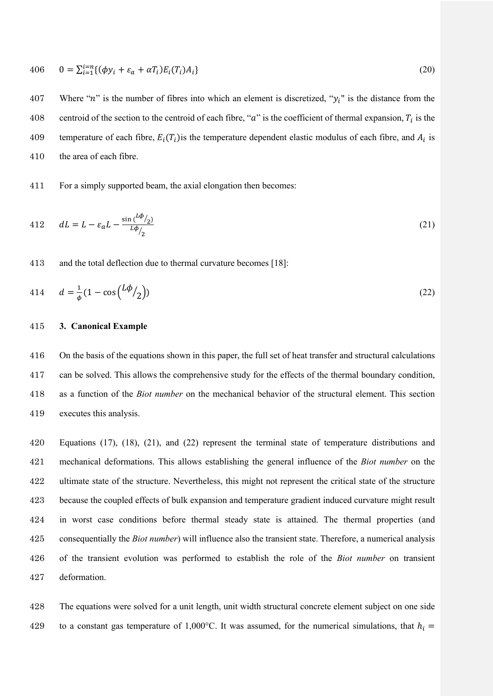406 
$$
0 = \sum_{i=1}^{i=n} \{ (\phi y_i + \varepsilon_a + \alpha T_i) E_i(T_i) A_i \}
$$
 (20)

407 Where "n" is the number of fibres into which an element is discretized, " $y_i$ " is the distance from the 408 centroid of the section to the centroid of each fibre, " $a$ " is the coefficient of thermal expansion,  $T_i$  is the 409 temperature of each fibre,  $E_i(T_i)$  is the temperature dependent elastic modulus of each fibre, and  $A_i$  is the area of each fibre.

For a simply supported beam, the axial elongation then becomes:

412 
$$
dL = L - \varepsilon_a L - \frac{\sin(\frac{L\phi}{2})}{L\phi/2}
$$
 (21)

and the total deflection due to thermal curvature becomes [18]:

414 
$$
d = \frac{1}{\phi} (1 - \cos(\frac{L\phi}{2}))
$$
 (22)

#### **3. Canonical Example**

 On the basis of the equations shown in this paper, the full set of heat transfer and structural calculations can be solved. This allows the comprehensive study for the effects of the thermal boundary condition, as a function of the *Biot number* on the mechanical behavior of the structural element. This section executes this analysis.

 Equations (17), (18), (21), and (22) represent the terminal state of temperature distributions and mechanical deformations. This allows establishing the general influence of the *Biot number* on the ultimate state of the structure. Nevertheless, this might not represent the critical state of the structure because the coupled effects of bulk expansion and temperature gradient induced curvature might result in worst case conditions before thermal steady state is attained. The thermal properties (and consequentially the *Biot number*) will influence also the transient state. Therefore, a numerical analysis of the transient evolution was performed to establish the role of the *Biot number* on transient deformation.

 The equations were solved for a unit length, unit width structural concrete element subject on one side 429 to a constant gas temperature of 1,000°C. It was assumed, for the numerical simulations, that  $h_i =$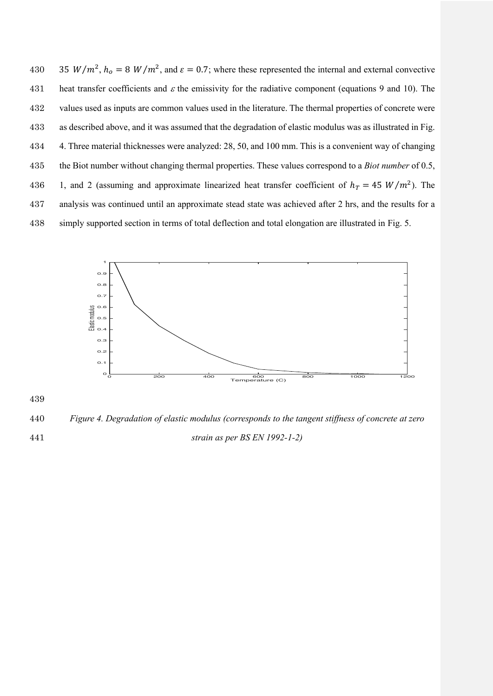430 35  $W/m^2$ ,  $h_0 = 8 W/m^2$ , and  $\varepsilon = 0.7$ ; where these represented the internal and external convective 431 heat transfer coefficients and  $\varepsilon$  the emissivity for the radiative component (equations 9 and 10). The values used as inputs are common values used in the literature. The thermal properties of concrete were as described above, and it was assumed that the degradation of elastic modulus was as illustrated in Fig. 4. Three material thicknesses were analyzed: 28, 50, and 100 mm. This is a convenient way of changing the Biot number without changing thermal properties. These values correspond to a *Biot number* of 0.5, 436 1, and 2 (assuming and approximate linearized heat transfer coefficient of  $h<sub>T</sub> = 45 W/m<sup>2</sup>$ ). The analysis was continued until an approximate stead state was achieved after 2 hrs, and the results for a simply supported section in terms of total deflection and total elongation are illustrated in Fig. 5.



440 *Figure 4. Degradation of elastic modulus (corresponds to the tangent stiffness of concrete at zero*  441 *strain as per BS EN 1992-1-2)*

439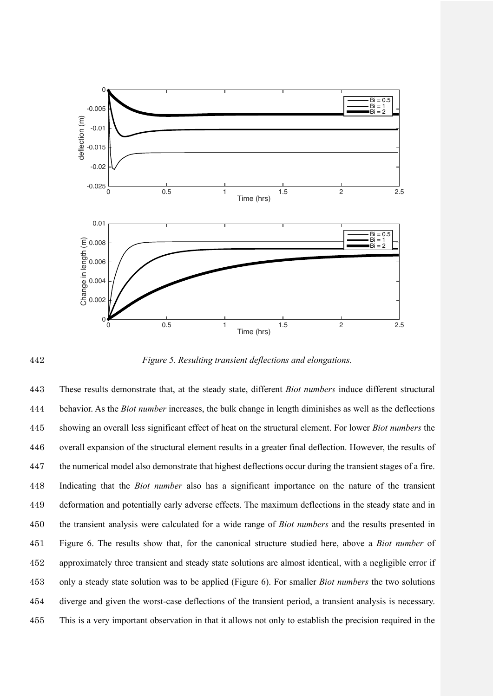

442 *Figure 5. Resulting transient deflections and elongations.*

 These results demonstrate that, at the steady state, different *Biot numbers* induce different structural behavior. As the *Biot number* increases, the bulk change in length diminishes as well as the deflections showing an overall less significant effect of heat on the structural element. For lower *Biot numbers* the overall expansion of the structural element results in a greater final deflection. However, the results of the numerical model also demonstrate that highest deflections occur during the transient stages of a fire. Indicating that the *Biot number* also has a significant importance on the nature of the transient deformation and potentially early adverse effects. The maximum deflections in the steady state and in the transient analysis were calculated for a wide range of *Biot numbers* and the results presented in Figure 6. The results show that, for the canonical structure studied here, above a *Biot number* of approximately three transient and steady state solutions are almost identical, with a negligible error if only a steady state solution was to be applied (Figure 6). For smaller *Biot numbers* the two solutions diverge and given the worst-case deflections of the transient period, a transient analysis is necessary. This is a very important observation in that it allows not only to establish the precision required in the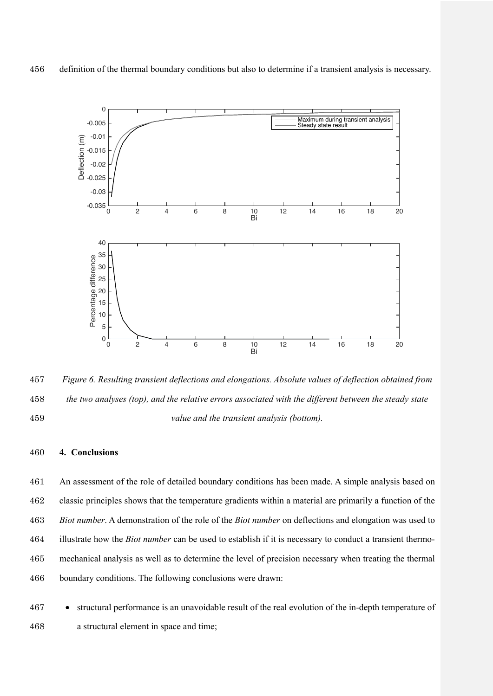

 *Figure 6. Resulting transient deflections and elongations. Absolute values of deflection obtained from the two analyses (top), and the relative errors associated with the different between the steady state value and the transient analysis (bottom).*

# **4. Conclusions**

 An assessment of the role of detailed boundary conditions has been made. A simple analysis based on classic principles shows that the temperature gradients within a material are primarily a function of the *Biot number*. A demonstration of the role of the *Biot number* on deflections and elongation was used to illustrate how the *Biot number* can be used to establish if it is necessary to conduct a transient thermo- mechanical analysis as well as to determine the level of precision necessary when treating the thermal boundary conditions. The following conclusions were drawn:

 • structural performance is an unavoidable result of the real evolution of the in-depth temperature of a structural element in space and time;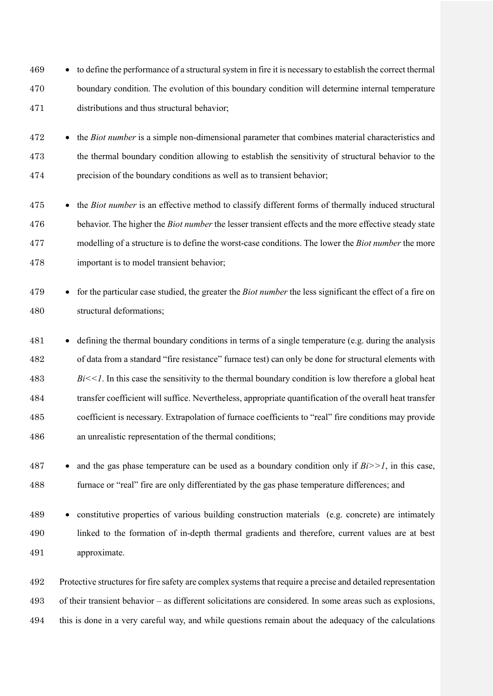• to define the performance of a structural system in fire it is necessary to establish the correct thermal boundary condition. The evolution of this boundary condition will determine internal temperature distributions and thus structural behavior;

 • the *Biot number* is a simple non-dimensional parameter that combines material characteristics and the thermal boundary condition allowing to establish the sensitivity of structural behavior to the precision of the boundary conditions as well as to transient behavior;

- the *Biot number* is an effective method to classify different forms of thermally induced structural behavior. The higher the *Biot number* the lesser transient effects and the more effective steady state modelling of a structure is to define the worst-case conditions. The lower the *Biot number* the more important is to model transient behavior;
- for the particular case studied, the greater the *Biot number* the less significant the effect of a fire on structural deformations;
- defining the thermal boundary conditions in terms of a single temperature (e.g. during the analysis of data from a standard "fire resistance" furnace test) can only be done for structural elements with *Bi* < 1. In this case the sensitivity to the thermal boundary condition is low therefore a global heat transfer coefficient will suffice. Nevertheless, appropriate quantification of the overall heat transfer coefficient is necessary. Extrapolation of furnace coefficients to "real" fire conditions may provide an unrealistic representation of the thermal conditions;
- and the gas phase temperature can be used as a boundary condition only if *Bi>>1*, in this case, furnace or "real" fire are only differentiated by the gas phase temperature differences; and

 • constitutive properties of various building construction materials (e.g. concrete) are intimately linked to the formation of in-depth thermal gradients and therefore, current values are at best approximate.

 Protective structures for fire safety are complex systems that require a precise and detailed representation of their transient behavior – as different solicitations are considered. In some areas such as explosions, this is done in a very careful way, and while questions remain about the adequacy of the calculations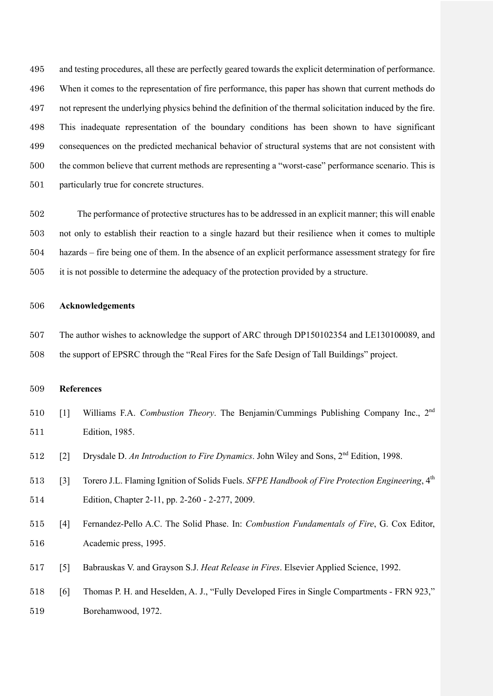and testing procedures, all these are perfectly geared towards the explicit determination of performance. When it comes to the representation of fire performance, this paper has shown that current methods do not represent the underlying physics behind the definition of the thermal solicitation induced by the fire. This inadequate representation of the boundary conditions has been shown to have significant consequences on the predicted mechanical behavior of structural systems that are not consistent with the common believe that current methods are representing a "worst-case" performance scenario. This is particularly true for concrete structures.

 The performance of protective structures has to be addressed in an explicit manner; this will enable not only to establish their reaction to a single hazard but their resilience when it comes to multiple hazards – fire being one of them. In the absence of an explicit performance assessment strategy for fire it is not possible to determine the adequacy of the protection provided by a structure.

# **Acknowledgements**

 The author wishes to acknowledge the support of ARC through DP150102354 and LE130100089, and the support of EPSRC through the "Real Fires for the Safe Design of Tall Buildings" project.

# **References**

- [1] Williams F.A. *Combustion Theory*. The Benjamin/Cummings Publishing Company Inc., 2nd Edition, 1985.
- [2] Drysdale D. An Introduction to Fire Dynamics. John Wiley and Sons, 2<sup>nd</sup> Edition, 1998.
- [3] Torero J.L. Flaming Ignition of Solids Fuels. *SFPE Handbook of Fire Protection Engineering*, 4th Edition, Chapter 2-11, pp. 2-260 - 2-277, 2009.
- [4] Fernandez-Pello A.C. The Solid Phase. In: *Combustion Fundamentals of Fire*, G. Cox Editor, Academic press, 1995.
- [5] Babrauskas V. and Grayson S.J. *Heat Release in Fires*. Elsevier Applied Science, 1992.
- [6] Thomas P. H. and Heselden, A. J., "Fully Developed Fires in Single Compartments FRN 923," Borehamwood, 1972.